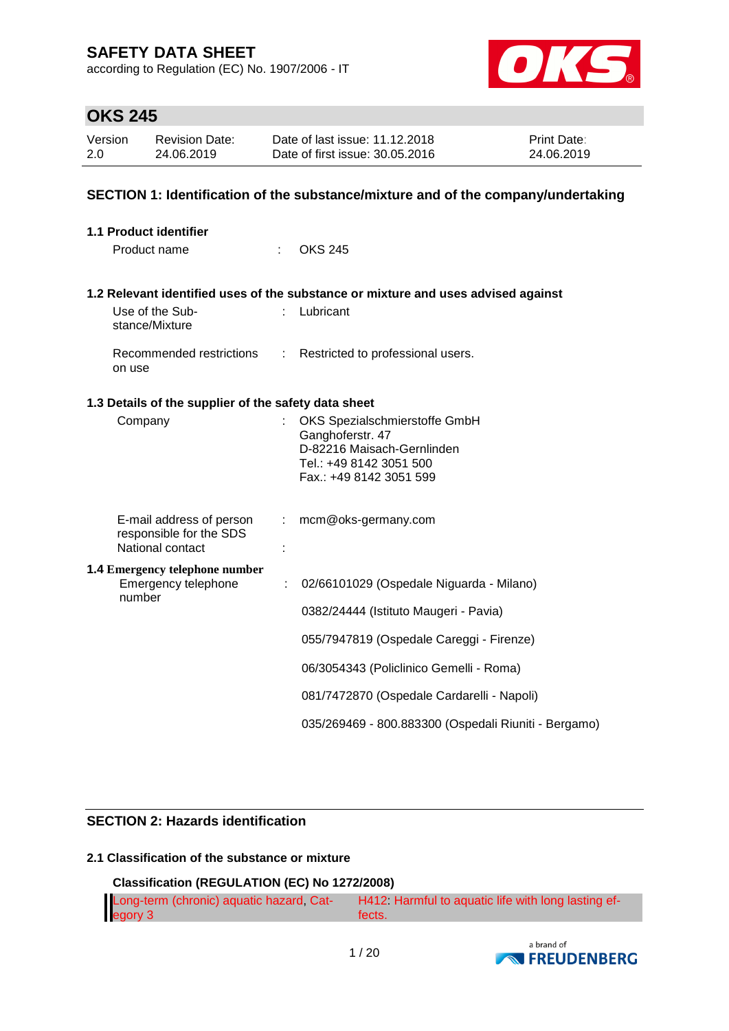according to Regulation (EC) No. 1907/2006 - IT



# **OKS 245**

| Version | <b>Revision Date:</b> | Date of last issue: 11.12.2018  | <b>Print Date:</b> |
|---------|-----------------------|---------------------------------|--------------------|
| 2.0     | 24.06.2019            | Date of first issue: 30.05.2016 | 24.06.2019         |

### **SECTION 1: Identification of the substance/mixture and of the company/undertaking**

| <b>1.1 Product identifier</b>                        |                               |                                                                                   |
|------------------------------------------------------|-------------------------------|-----------------------------------------------------------------------------------|
| Product name                                         |                               | <b>OKS 245</b>                                                                    |
|                                                      |                               | 1.2 Relevant identified uses of the substance or mixture and uses advised against |
| Use of the Sub-<br>stance/Mixture                    |                               | Lubricant                                                                         |
| Recommended restrictions<br>on use                   | $\mathcal{L}^{\mathcal{L}}$ . | Restricted to professional users.                                                 |
| 1.3 Details of the supplier of the safety data sheet |                               |                                                                                   |
| Company                                              |                               | OKS Spezialschmierstoffe GmbH                                                     |
|                                                      |                               | Ganghoferstr. 47<br>D-82216 Maisach-Gernlinden                                    |
|                                                      |                               | Tel.: +49 8142 3051 500                                                           |
|                                                      |                               | Fax.: +49 8142 3051 599                                                           |
| E-mail address of person<br>responsible for the SDS  | t.                            | mcm@oks-germany.com                                                               |
| National contact                                     |                               |                                                                                   |
| <b>1.4 Emergency telephone number</b>                |                               |                                                                                   |
| Emergency telephone<br>number                        | ÷                             | 02/66101029 (Ospedale Niguarda - Milano)                                          |
|                                                      |                               | 0382/24444 (Istituto Maugeri - Pavia)                                             |
|                                                      |                               | 055/7947819 (Ospedale Careggi - Firenze)                                          |
|                                                      |                               | 06/3054343 (Policlinico Gemelli - Roma)                                           |
|                                                      |                               | 081/7472870 (Ospedale Cardarelli - Napoli)                                        |
|                                                      |                               | 035/269469 - 800.883300 (Ospedali Riuniti - Bergamo)                              |

### **SECTION 2: Hazards identification**

### **2.1 Classification of the substance or mixture**

### **Classification (REGULATION (EC) No 1272/2008)**

| Long-term (chronic) aquatic hazard, Cat- | H412 Harmful to aquatic life with long lasting ef- |
|------------------------------------------|----------------------------------------------------|
| egory 3                                  | fects.                                             |

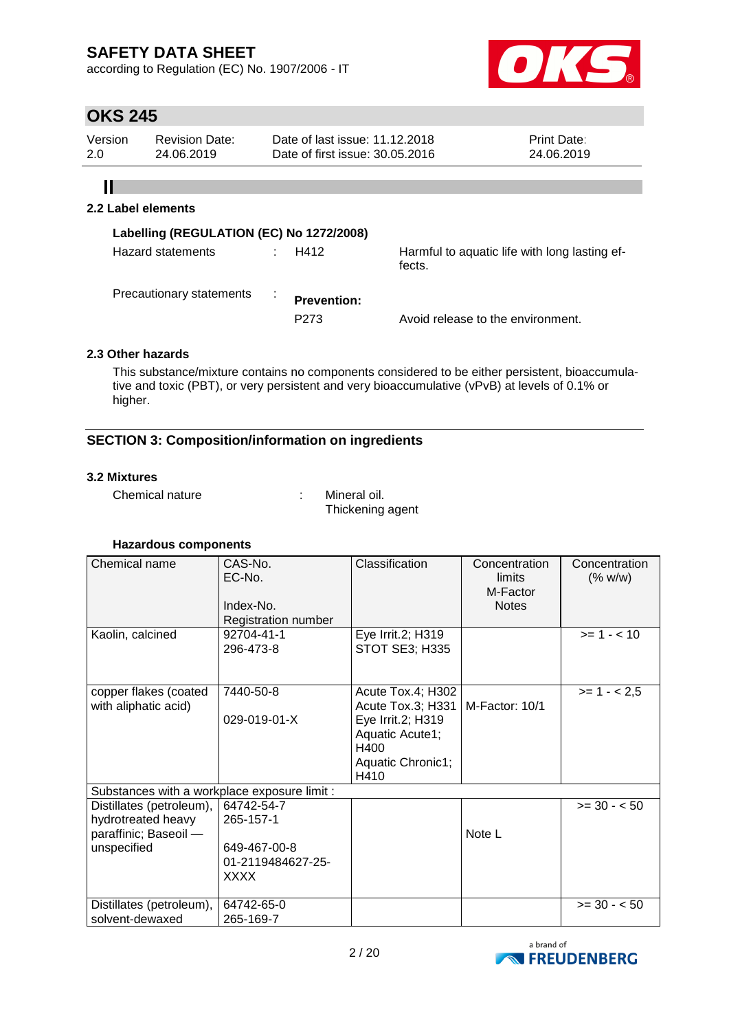according to Regulation (EC) No. 1907/2006 - IT



# **OKS 245**

| Version | <b>Revision Date:</b> | Date of last issue: 11.12.2018  | <b>Print Date:</b> |
|---------|-----------------------|---------------------------------|--------------------|
| 2.0     | 24.06.2019            | Date of first issue: 30.05.2016 | 24.06.2019         |

# $\mathbf{II}$

### **2.2 Label elements**

| Labelling (REGULATION (EC) No 1272/2008) |   |                                        |                                                         |
|------------------------------------------|---|----------------------------------------|---------------------------------------------------------|
| Hazard statements                        |   | H412                                   | Harmful to aquatic life with long lasting ef-<br>fects. |
| Precautionary statements                 | ÷ | <b>Prevention:</b><br>P <sub>273</sub> | Avoid release to the environment.                       |

### **2.3 Other hazards**

This substance/mixture contains no components considered to be either persistent, bioaccumulative and toxic (PBT), or very persistent and very bioaccumulative (vPvB) at levels of 0.1% or higher.

### **SECTION 3: Composition/information on ingredients**

### **3.2 Mixtures**

Chemical nature : Mineral oil.

Thickening agent

| Chemical name                                                                          | CAS-No.<br>$EC-No.$<br>Index-No.<br>Registration number                     | Classification                                                                                                      | Concentration<br>limits<br>M-Factor<br><b>Notes</b> | Concentration<br>(% w/w) |
|----------------------------------------------------------------------------------------|-----------------------------------------------------------------------------|---------------------------------------------------------------------------------------------------------------------|-----------------------------------------------------|--------------------------|
| Kaolin, calcined                                                                       | 92704-41-1<br>296-473-8                                                     | Eye Irrit.2; H319<br><b>STOT SE3; H335</b>                                                                          |                                                     | $>= 1 - < 10$            |
| copper flakes (coated<br>with aliphatic acid)                                          | 7440-50-8<br>029-019-01-X                                                   | Acute Tox.4; H302<br>Acute Tox.3; H331<br>Eye Irrit.2; H319<br>Aquatic Acute1;<br>H400<br>Aquatic Chronic1;<br>H410 | M-Factor: 10/1                                      | $>= 1 - 2.5$             |
| Substances with a workplace exposure limit :                                           |                                                                             |                                                                                                                     |                                                     |                          |
| Distillates (petroleum),<br>hydrotreated heavy<br>paraffinic; Baseoil -<br>unspecified | 64742-54-7<br>265-157-1<br>649-467-00-8<br>01-2119484627-25-<br><b>XXXX</b> |                                                                                                                     | Note L                                              | $>= 30 - 50$             |
| Distillates (petroleum),<br>solvent-dewaxed                                            | 64742-65-0<br>265-169-7                                                     |                                                                                                                     |                                                     | $>= 30 - 50$             |

### **Hazardous components**

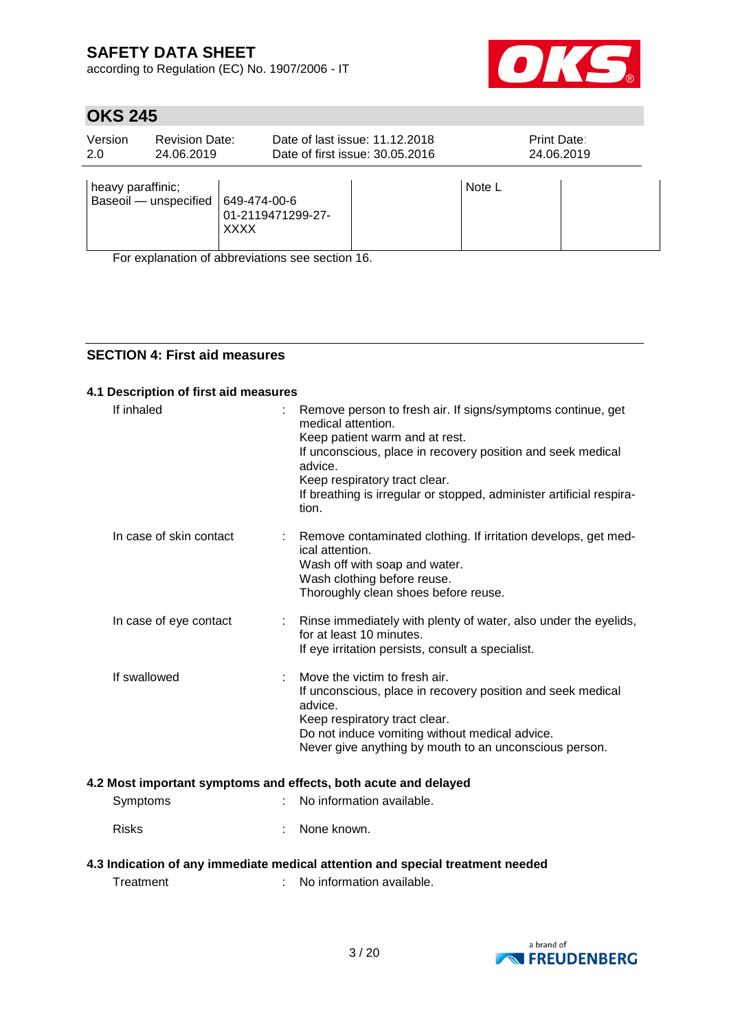according to Regulation (EC) No. 1907/2006 - IT



# **OKS 245**

| Version<br>2.0    | <b>Revision Date:</b><br>24.06.2019 |                                           | Date of last issue: 11.12.2018<br>Date of first issue: 30.05.2016 | <b>Print Date:</b> | 24.06.2019 |
|-------------------|-------------------------------------|-------------------------------------------|-------------------------------------------------------------------|--------------------|------------|
| heavy paraffinic; | Baseoil - unspecified               | 649-474-00-6<br>01-2119471299-27-<br>XXXX |                                                                   | Note L             |            |

For explanation of abbreviations see section 16.

### **SECTION 4: First aid measures**

### **4.1 Description of first aid measures**

| If inhaled              | Remove person to fresh air. If signs/symptoms continue, get<br>medical attention.<br>Keep patient warm and at rest.<br>If unconscious, place in recovery position and seek medical<br>advice.<br>Keep respiratory tract clear.<br>If breathing is irregular or stopped, administer artificial respira-<br>tion. |
|-------------------------|-----------------------------------------------------------------------------------------------------------------------------------------------------------------------------------------------------------------------------------------------------------------------------------------------------------------|
| In case of skin contact | Remove contaminated clothing. If irritation develops, get med-<br>ical attention.<br>Wash off with soap and water.<br>Wash clothing before reuse.<br>Thoroughly clean shoes before reuse.                                                                                                                       |
| In case of eye contact  | Rinse immediately with plenty of water, also under the eyelids,<br>for at least 10 minutes.<br>If eye irritation persists, consult a specialist.                                                                                                                                                                |
| If swallowed            | Move the victim to fresh air.<br>If unconscious, place in recovery position and seek medical<br>advice.<br>Keep respiratory tract clear.<br>Do not induce vomiting without medical advice.<br>Never give anything by mouth to an unconscious person.                                                            |
|                         | 4.2 Most important symptoms and effects, both acute and delayed                                                                                                                                                                                                                                                 |
| Symptoms                | No information available.                                                                                                                                                                                                                                                                                       |
| <b>Risks</b>            | None known.                                                                                                                                                                                                                                                                                                     |

### **4.3 Indication of any immediate medical attention and special treatment needed**

Treatment : No information available.

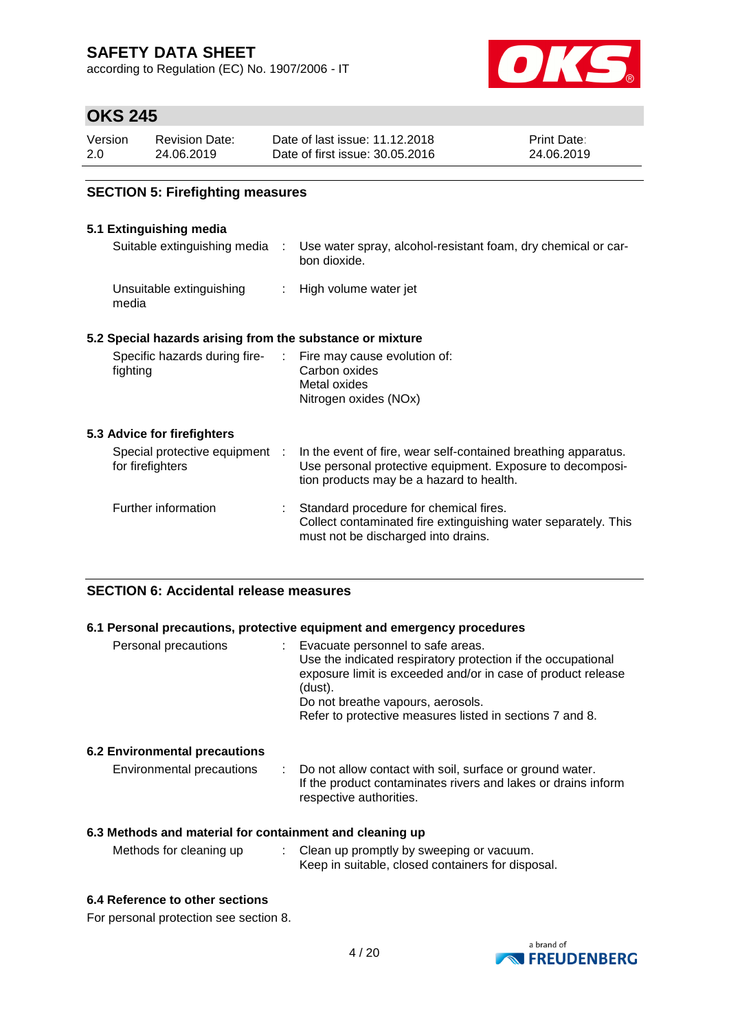according to Regulation (EC) No. 1907/2006 - IT



### **OKS 245**

| Version | <b>Revision Date:</b> | Date of last issue: 11.12.2018  | <b>Print Date:</b> |
|---------|-----------------------|---------------------------------|--------------------|
| 2.0     | 24.06.2019            | Date of first issue: 30.05.2016 | 24.06.2019         |

### **SECTION 5: Firefighting measures**

### **5.1 Extinguishing media**

| Suitable extinguishing media :                                           | Use water spray, alcohol-resistant foam, dry chemical or car-<br>bon dioxide.                                                                                           |
|--------------------------------------------------------------------------|-------------------------------------------------------------------------------------------------------------------------------------------------------------------------|
| Unsuitable extinguishing<br>media                                        | : High volume water jet                                                                                                                                                 |
| 5.2 Special hazards arising from the substance or mixture                |                                                                                                                                                                         |
| Specific hazards during fire- : Fire may cause evolution of:<br>fighting | Carbon oxides<br>Metal oxides<br>Nitrogen oxides (NOx)                                                                                                                  |
| 5.3 Advice for firefighters                                              |                                                                                                                                                                         |
| Special protective equipment :<br>for firefighters                       | In the event of fire, wear self-contained breathing apparatus.<br>Use personal protective equipment. Exposure to decomposi-<br>tion products may be a hazard to health. |
| Further information                                                      | Standard procedure for chemical fires.<br>Collect contaminated fire extinguishing water separately. This<br>must not be discharged into drains.                         |
|                                                                          |                                                                                                                                                                         |

### **SECTION 6: Accidental release measures**

### **6.1 Personal precautions, protective equipment and emergency procedures**

| Personal precautions          | Evacuate personnel to safe areas.<br>Use the indicated respiratory protection if the occupational<br>exposure limit is exceeded and/or in case of product release<br>(dust).<br>Do not breathe vapours, aerosols.<br>Refer to protective measures listed in sections 7 and 8. |
|-------------------------------|-------------------------------------------------------------------------------------------------------------------------------------------------------------------------------------------------------------------------------------------------------------------------------|
| 6.2 Environmental precautions |                                                                                                                                                                                                                                                                               |

#### Environmental precautions : Do not allow contact with soil, surface or ground water. If the product contaminates rivers and lakes or drains inform respective authorities.

### **6.3 Methods and material for containment and cleaning up**

| Methods for cleaning up<br>Clean up promptly by sweeping or vacuum. | Keep in suitable, closed containers for disposal. |
|---------------------------------------------------------------------|---------------------------------------------------|
|---------------------------------------------------------------------|---------------------------------------------------|

### **6.4 Reference to other sections**

For personal protection see section 8.

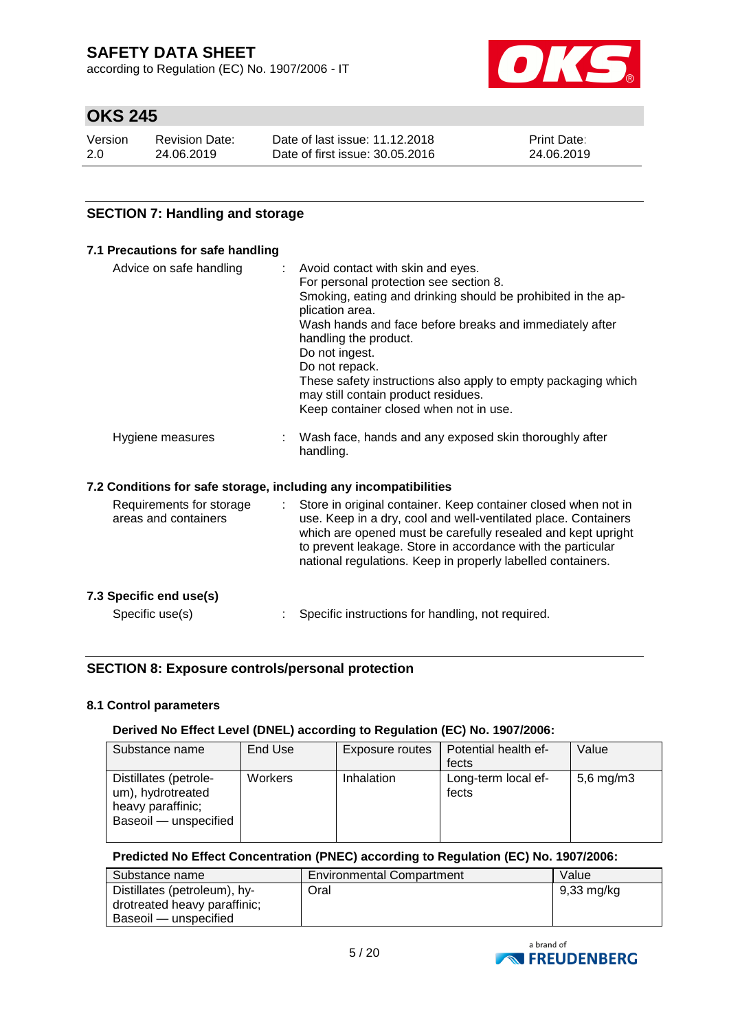according to Regulation (EC) No. 1907/2006 - IT



# **OKS 245**

| Version | <b>Revision Date:</b> | Date of last issue: 11.12.2018  | <b>Print Date:</b> |
|---------|-----------------------|---------------------------------|--------------------|
| 2.0     | 24.06.2019            | Date of first issue: 30.05.2016 | 24.06.2019         |

### **SECTION 7: Handling and storage**

| 7.1 Precautions for safe handling                                |                                                                                                                                                                                                                                                                                                                                                                                                                                          |
|------------------------------------------------------------------|------------------------------------------------------------------------------------------------------------------------------------------------------------------------------------------------------------------------------------------------------------------------------------------------------------------------------------------------------------------------------------------------------------------------------------------|
| Advice on safe handling                                          | Avoid contact with skin and eyes.<br>For personal protection see section 8.<br>Smoking, eating and drinking should be prohibited in the ap-<br>plication area.<br>Wash hands and face before breaks and immediately after<br>handling the product.<br>Do not ingest.<br>Do not repack.<br>These safety instructions also apply to empty packaging which<br>may still contain product residues.<br>Keep container closed when not in use. |
| Hygiene measures                                                 | Wash face, hands and any exposed skin thoroughly after<br>handling.                                                                                                                                                                                                                                                                                                                                                                      |
| 7.2 Conditions for safe storage, including any incompatibilities |                                                                                                                                                                                                                                                                                                                                                                                                                                          |
| Requirements for storage<br>÷.<br>areas and containers           | Store in original container. Keep container closed when not in<br>use. Keep in a dry, cool and well-ventilated place. Containers<br>which are opened must be carefully resealed and kept upright<br>to prevent leakage. Store in accordance with the particular<br>national regulations. Keep in properly labelled containers.                                                                                                           |
| 7.3 Specific end use(s)                                          |                                                                                                                                                                                                                                                                                                                                                                                                                                          |
| Specific use(s)                                                  | Specific instructions for handling, not required.                                                                                                                                                                                                                                                                                                                                                                                        |

### **SECTION 8: Exposure controls/personal protection**

### **8.1 Control parameters**

### **Derived No Effect Level (DNEL) according to Regulation (EC) No. 1907/2006:**

| Substance name                                                                           | End Use | Exposure routes   | Potential health ef-<br>fects | Value          |
|------------------------------------------------------------------------------------------|---------|-------------------|-------------------------------|----------------|
| Distillates (petrole-<br>um), hydrotreated<br>heavy paraffinic;<br>Baseoil - unspecified | Workers | <b>Inhalation</b> | Long-term local ef-<br>fects  | $5,6$ mg/m $3$ |

### **Predicted No Effect Concentration (PNEC) according to Regulation (EC) No. 1907/2006:**

| Substance name               | <b>Environmental Compartment</b> | Value      |
|------------------------------|----------------------------------|------------|
| Distillates (petroleum), hy- | Oral                             | 9,33 mg/kg |
| drotreated heavy paraffinic; |                                  |            |
| Baseoil — unspecified        |                                  |            |

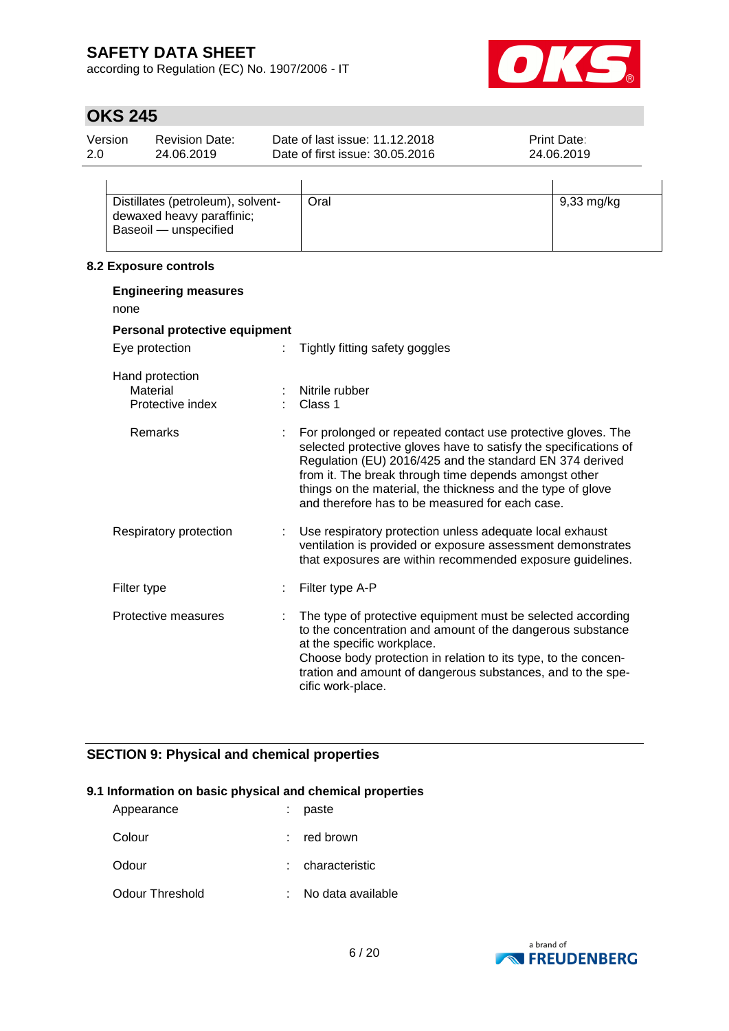according to Regulation (EC) No. 1907/2006 - IT



# **OKS 245**

| Version | <b>Revision Date:</b> | Date of last issue: 11.12.2018  | <b>Print Date:</b> |  |
|---------|-----------------------|---------------------------------|--------------------|--|
| 2.0     | 24.06.2019            | Date of first issue: 30.05.2016 | 24.06.2019         |  |
|         |                       |                                 |                    |  |

| Distillates (petroleum), solvent- | Oral | 9,33 mg/kg |
|-----------------------------------|------|------------|
| dewaxed heavy paraffinic;         |      |            |
| Baseoil — unspecified             |      |            |
|                                   |      |            |

### **8.2 Exposure controls**

| <b>Engineering measures</b><br>none             |   |                                                                                                                                                                                                                                                                                                                                                                         |  |  |
|-------------------------------------------------|---|-------------------------------------------------------------------------------------------------------------------------------------------------------------------------------------------------------------------------------------------------------------------------------------------------------------------------------------------------------------------------|--|--|
| Personal protective equipment                   |   |                                                                                                                                                                                                                                                                                                                                                                         |  |  |
| Eye protection                                  |   | Tightly fitting safety goggles                                                                                                                                                                                                                                                                                                                                          |  |  |
| Hand protection<br>Material<br>Protective index |   | Nitrile rubber<br>Class 1                                                                                                                                                                                                                                                                                                                                               |  |  |
| Remarks                                         |   | For prolonged or repeated contact use protective gloves. The<br>selected protective gloves have to satisfy the specifications of<br>Regulation (EU) 2016/425 and the standard EN 374 derived<br>from it. The break through time depends amongst other<br>things on the material, the thickness and the type of glove<br>and therefore has to be measured for each case. |  |  |
| Respiratory protection                          | ÷ | Use respiratory protection unless adequate local exhaust<br>ventilation is provided or exposure assessment demonstrates<br>that exposures are within recommended exposure guidelines.                                                                                                                                                                                   |  |  |
| Filter type                                     |   | Filter type A-P                                                                                                                                                                                                                                                                                                                                                         |  |  |
| Protective measures                             |   | The type of protective equipment must be selected according<br>to the concentration and amount of the dangerous substance<br>at the specific workplace.<br>Choose body protection in relation to its type, to the concen-<br>tration and amount of dangerous substances, and to the spe-<br>cific work-place.                                                           |  |  |

### **SECTION 9: Physical and chemical properties**

### **9.1 Information on basic physical and chemical properties**

| Appearance      | paste               |
|-----------------|---------------------|
| Colour          | $:$ red brown       |
| Odour           | : characteristic    |
| Odour Threshold | : No data available |

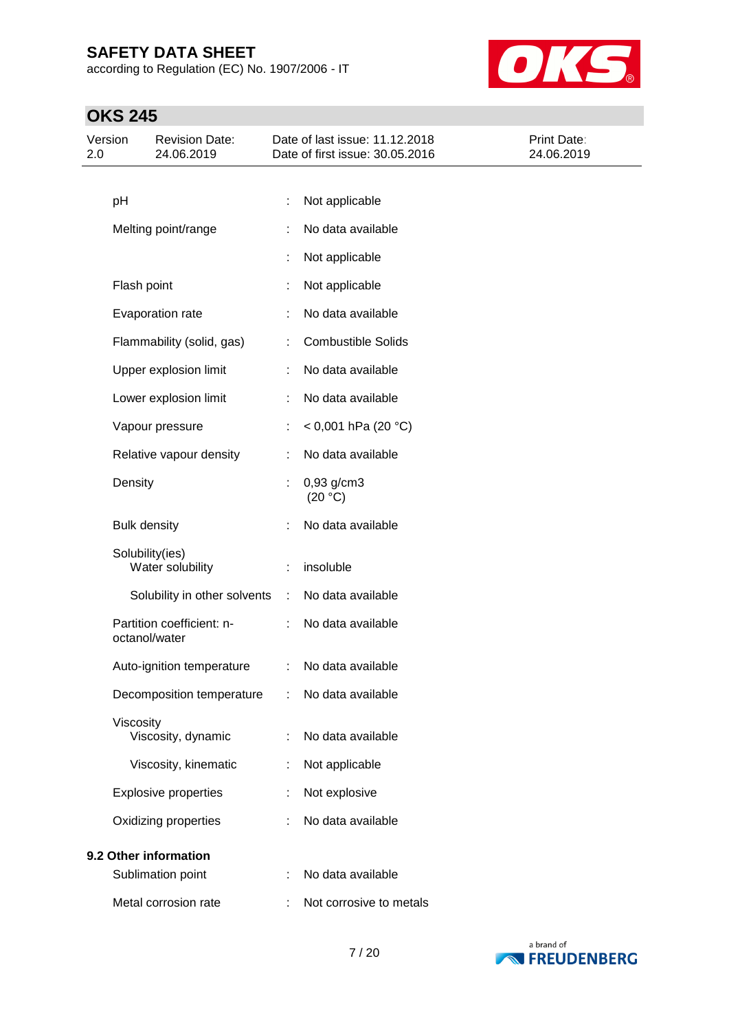according to Regulation (EC) No. 1907/2006 - IT



# **OKS 245**

| Version<br>2.0 |                     | <b>Revision Date:</b><br>24.06.2019        |   | Date of last issue: 11.12.2018<br>Date of first issue: 30.05.2016 | Print Date:<br>24.06.2019 |
|----------------|---------------------|--------------------------------------------|---|-------------------------------------------------------------------|---------------------------|
|                |                     |                                            |   |                                                                   |                           |
|                | pH                  |                                            |   | Not applicable                                                    |                           |
|                |                     | Melting point/range                        |   | No data available                                                 |                           |
|                |                     |                                            |   | Not applicable                                                    |                           |
|                | Flash point         |                                            | t | Not applicable                                                    |                           |
|                |                     | Evaporation rate                           |   | No data available                                                 |                           |
|                |                     | Flammability (solid, gas)                  |   | <b>Combustible Solids</b>                                         |                           |
|                |                     | Upper explosion limit                      |   | No data available                                                 |                           |
|                |                     | Lower explosion limit                      | ÷ | No data available                                                 |                           |
|                |                     | Vapour pressure                            |   | < 0,001 hPa (20 °C)                                               |                           |
|                |                     | Relative vapour density                    | ÷ | No data available                                                 |                           |
|                | Density             |                                            |   | 0,93 g/cm3<br>(20 °C)                                             |                           |
|                | <b>Bulk density</b> |                                            |   | No data available                                                 |                           |
|                | Solubility(ies)     | Water solubility                           |   | insoluble                                                         |                           |
|                |                     | Solubility in other solvents               | ÷ | No data available                                                 |                           |
|                |                     | Partition coefficient: n-<br>octanol/water |   | No data available                                                 |                           |
|                |                     | Auto-ignition temperature                  | ÷ | No data available                                                 |                           |
|                |                     | Decomposition temperature                  |   | No data available                                                 |                           |
|                | Viscosity           | Viscosity, dynamic                         |   | No data available                                                 |                           |
|                |                     | Viscosity, kinematic                       | t | Not applicable                                                    |                           |
|                |                     | <b>Explosive properties</b>                |   | Not explosive                                                     |                           |
|                |                     | Oxidizing properties                       |   | No data available                                                 |                           |
|                |                     | 9.2 Other information                      |   |                                                                   |                           |
|                |                     | Sublimation point                          |   | No data available                                                 |                           |
|                |                     | Metal corrosion rate                       |   | Not corrosive to metals                                           |                           |

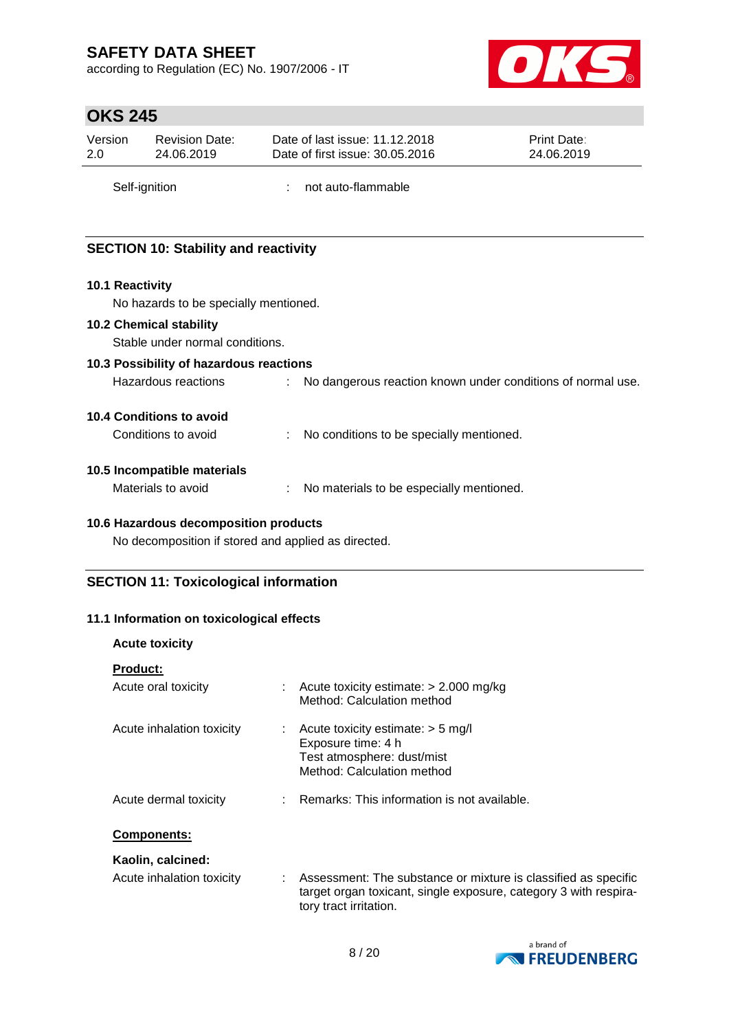according to Regulation (EC) No. 1907/2006 - IT



# **OKS 245**

| Version | <b>Revision Date:</b> | Date of last issue: 11.12.2018  | <b>Print Date:</b> |
|---------|-----------------------|---------------------------------|--------------------|
| 2.0     | 24.06.2019            | Date of first issue: 30.05.2016 | 24.06.2019         |
|         | Self-ignition         | not auto-flammable              |                    |

# **SECTION 10: Stability and reactivity**

### **10.1 Reactivity**

No hazards to be specially mentioned.

#### **10.2 Chemical stability**

Stable under normal conditions.

### **10.3 Possibility of hazardous reactions**

Hazardous reactions : No dangerous reaction known under conditions of normal use.

### **10.4 Conditions to avoid**

| Conditions to avoid |  | No conditions to be specially mentioned. |
|---------------------|--|------------------------------------------|
|---------------------|--|------------------------------------------|

### **10.5 Incompatible materials**

Materials to avoid : No materials to be especially mentioned.

### **10.6 Hazardous decomposition products**

No decomposition if stored and applied as directed.

### **SECTION 11: Toxicological information**

### **11.1 Information on toxicological effects**

| <b>Acute toxicity</b>     |                                                                                                                                                                |
|---------------------------|----------------------------------------------------------------------------------------------------------------------------------------------------------------|
| <b>Product:</b>           |                                                                                                                                                                |
| Acute oral toxicity       | $\therefore$ Acute toxicity estimate: $>$ 2.000 mg/kg<br>Method: Calculation method                                                                            |
| Acute inhalation toxicity | $\therefore$ Acute toxicity estimate: $>$ 5 mg/l<br>Exposure time: 4 h<br>Test atmosphere: dust/mist<br>Method: Calculation method                             |
| Acute dermal toxicity     | : Remarks: This information is not available.                                                                                                                  |
| <b>Components:</b>        |                                                                                                                                                                |
| Kaolin, calcined:         |                                                                                                                                                                |
| Acute inhalation toxicity | : Assessment: The substance or mixture is classified as specific<br>target organ toxicant, single exposure, category 3 with respira-<br>tory tract irritation. |

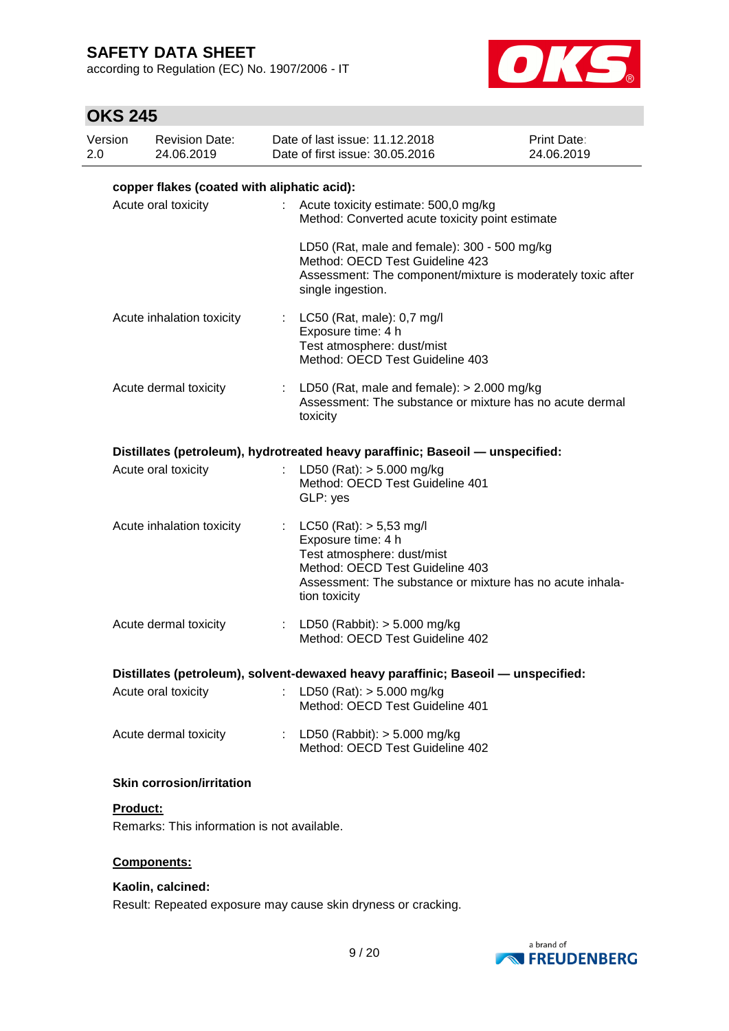according to Regulation (EC) No. 1907/2006 - IT



# **OKS 245**

| Version<br>2.0 | <b>Revision Date:</b><br>24.06.2019         |                     | Date of last issue: 11.12.2018<br>Date of first issue: 30.05.2016                                                 | <b>Print Date:</b><br>24.06.2019                            |
|----------------|---------------------------------------------|---------------------|-------------------------------------------------------------------------------------------------------------------|-------------------------------------------------------------|
|                | copper flakes (coated with aliphatic acid): |                     |                                                                                                                   |                                                             |
|                | Acute oral toxicity                         | ÷                   | Acute toxicity estimate: 500,0 mg/kg<br>Method: Converted acute toxicity point estimate                           |                                                             |
|                |                                             | single ingestion.   | LD50 (Rat, male and female): 300 - 500 mg/kg<br>Method: OECD Test Guideline 423                                   | Assessment: The component/mixture is moderately toxic after |
|                | Acute inhalation toxicity                   |                     | LC50 (Rat, male): 0,7 mg/l<br>Exposure time: 4 h<br>Test atmosphere: dust/mist<br>Method: OECD Test Guideline 403 |                                                             |
|                | Acute dermal toxicity                       | ÷<br>toxicity       | LD50 (Rat, male and female): $> 2.000$ mg/kg                                                                      | Assessment: The substance or mixture has no acute dermal    |
|                |                                             |                     | Distillates (petroleum), hydrotreated heavy paraffinic; Baseoil — unspecified:                                    |                                                             |
|                | Acute oral toxicity                         | GLP: yes            | LD50 (Rat): $> 5.000$ mg/kg<br>Method: OECD Test Guideline 401                                                    |                                                             |
|                | Acute inhalation toxicity                   | t.<br>tion toxicity | LC50 (Rat): > 5,53 mg/l<br>Exposure time: 4 h<br>Test atmosphere: dust/mist<br>Method: OECD Test Guideline 403    | Assessment: The substance or mixture has no acute inhala-   |
|                | Acute dermal toxicity                       |                     | : LD50 (Rabbit): $> 5.000$ mg/kg<br>Method: OECD Test Guideline 402                                               |                                                             |
|                |                                             |                     | Distillates (petroleum), solvent-dewaxed heavy paraffinic; Baseoil - unspecified:                                 |                                                             |
|                | Acute oral toxicity                         |                     | : LD50 (Rat): $> 5.000$ mg/kg<br>Method: OECD Test Guideline 401                                                  |                                                             |
|                | Acute dermal toxicity                       | ÷                   | LD50 (Rabbit): $> 5.000$ mg/kg<br>Method: OECD Test Guideline 402                                                 |                                                             |
|                | <b>Skin corrosion/irritation</b>            |                     |                                                                                                                   |                                                             |
| Product:       |                                             |                     |                                                                                                                   |                                                             |

Remarks: This information is not available.

### **Components:**

### **Kaolin, calcined:**

Result: Repeated exposure may cause skin dryness or cracking.

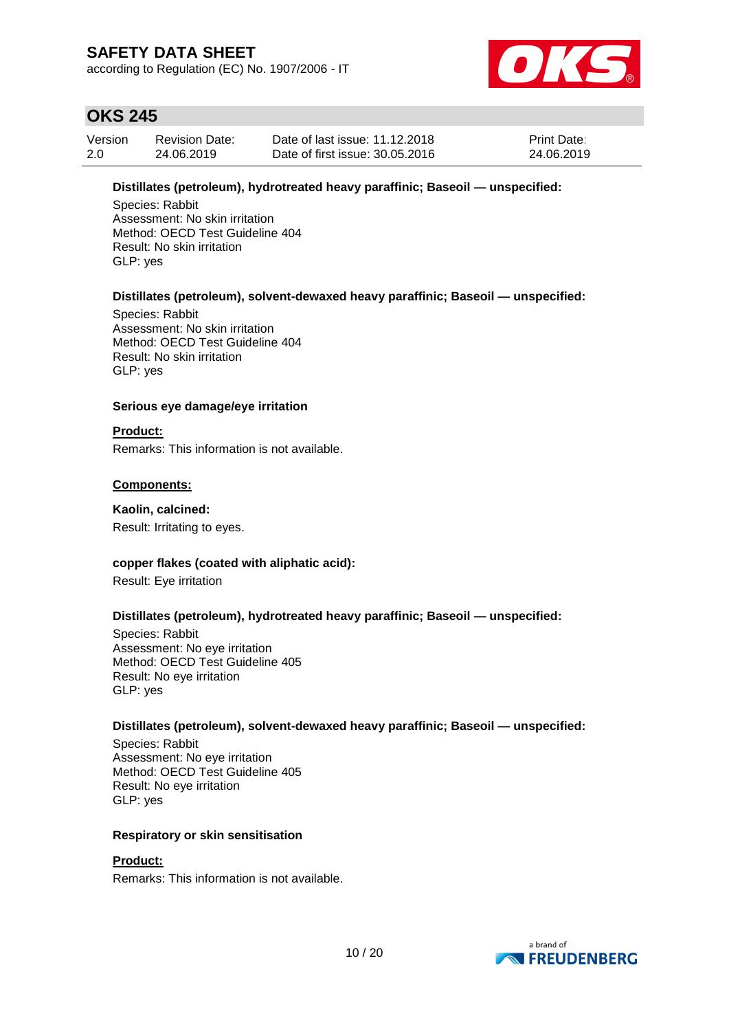according to Regulation (EC) No. 1907/2006 - IT



# **OKS 245**

| Version | <b>Revision Date:</b> | Date of last issue: 11.12.2018  | <b>Print Date:</b> |
|---------|-----------------------|---------------------------------|--------------------|
| 2.0     | 24.06.2019            | Date of first issue: 30.05.2016 | 24.06.2019         |

### **Distillates (petroleum), hydrotreated heavy paraffinic; Baseoil — unspecified:**

Species: Rabbit Assessment: No skin irritation Method: OECD Test Guideline 404 Result: No skin irritation GLP: yes

### **Distillates (petroleum), solvent-dewaxed heavy paraffinic; Baseoil — unspecified:**

Species: Rabbit Assessment: No skin irritation Method: OECD Test Guideline 404 Result: No skin irritation GLP: yes

### **Serious eye damage/eye irritation**

### **Product:**

Remarks: This information is not available.

### **Components:**

#### **Kaolin, calcined:**

Result: Irritating to eyes.

### **copper flakes (coated with aliphatic acid):**

Result: Eye irritation

### **Distillates (petroleum), hydrotreated heavy paraffinic; Baseoil — unspecified:**

Species: Rabbit Assessment: No eye irritation Method: OECD Test Guideline 405 Result: No eye irritation GLP: yes

### **Distillates (petroleum), solvent-dewaxed heavy paraffinic; Baseoil — unspecified:**

Species: Rabbit Assessment: No eye irritation Method: OECD Test Guideline 405 Result: No eye irritation GLP: yes

### **Respiratory or skin sensitisation**

### **Product:**

Remarks: This information is not available.

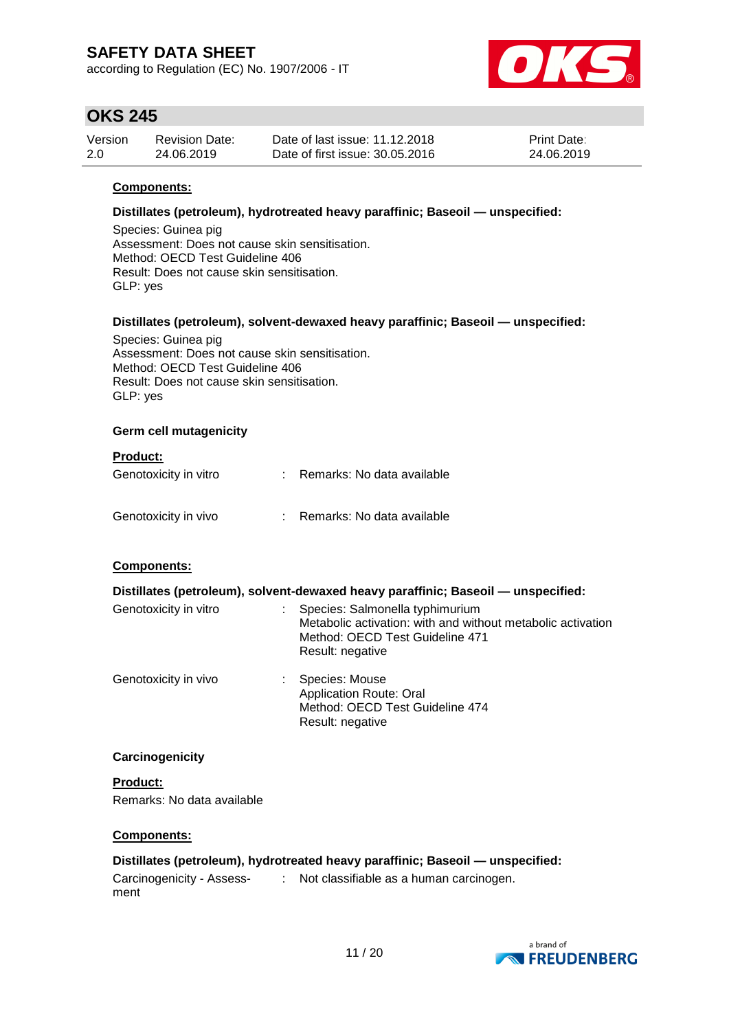according to Regulation (EC) No. 1907/2006 - IT



# **OKS 245**

| Version | <b>Revision Date:</b> | Date of last issue: 11.12.2018  | <b>Print Date:</b> |
|---------|-----------------------|---------------------------------|--------------------|
| 2.0     | 24.06.2019            | Date of first issue: 30.05.2016 | 24.06.2019         |

### **Components:**

### **Distillates (petroleum), hydrotreated heavy paraffinic; Baseoil — unspecified:**

Species: Guinea pig Assessment: Does not cause skin sensitisation. Method: OECD Test Guideline 406 Result: Does not cause skin sensitisation. GLP: yes

### **Distillates (petroleum), solvent-dewaxed heavy paraffinic; Baseoil — unspecified:**

Species: Guinea pig Assessment: Does not cause skin sensitisation. Method: OECD Test Guideline 406 Result: Does not cause skin sensitisation. GLP: yes

#### **Germ cell mutagenicity**

#### **Product:**

| Genotoxicity in vitro | : Remarks: No data available |  |
|-----------------------|------------------------------|--|
|                       |                              |  |

| Genotoxicity in vivo | Remarks: No data available |
|----------------------|----------------------------|
|----------------------|----------------------------|

### **Components:**

|                       | Distillates (petroleum), solvent-dewaxed heavy paraffinic; Baseoil - unspecified:                                                                     |
|-----------------------|-------------------------------------------------------------------------------------------------------------------------------------------------------|
| Genotoxicity in vitro | Species: Salmonella typhimurium<br>Metabolic activation: with and without metabolic activation<br>Method: OECD Test Guideline 471<br>Result: negative |
| Genotoxicity in vivo  | Species: Mouse<br><b>Application Route: Oral</b><br>Method: OECD Test Guideline 474<br>Result: negative                                               |

### **Carcinogenicity**

**Product:** Remarks: No data available

### **Components:**

### **Distillates (petroleum), hydrotreated heavy paraffinic; Baseoil — unspecified:**

Carcinogenicity - Assess-: Not classifiable as a human carcinogen.ment

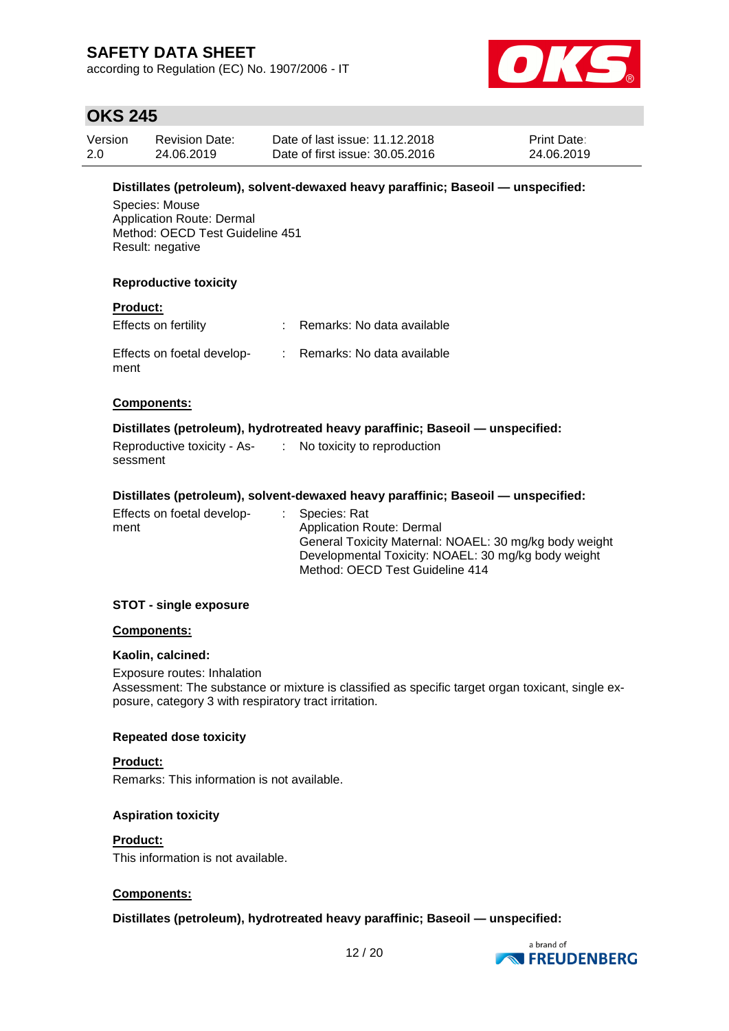according to Regulation (EC) No. 1907/2006 - IT



# **OKS 245**

| Version | <b>Revision Date:</b> | Date of last issue: 11.12.2018  | <b>Print Date:</b> |
|---------|-----------------------|---------------------------------|--------------------|
| 2.0     | 24.06.2019            | Date of first issue: 30.05.2016 | 24.06.2019         |

### **Distillates (petroleum), solvent-dewaxed heavy paraffinic; Baseoil — unspecified:**

Species: Mouse Application Route: Dermal Method: OECD Test Guideline 451 Result: negative

#### **Reproductive toxicity**

#### **Product:**

| Effects on fertility               | : Remarks: No data available |
|------------------------------------|------------------------------|
| Effects on foetal develop-<br>ment | : Remarks: No data available |

#### **Components:**

#### **Distillates (petroleum), hydrotreated heavy paraffinic; Baseoil — unspecified:**

| Reproductive toxicity - As- | No toxicity to reproduction |
|-----------------------------|-----------------------------|
| sessment                    |                             |

#### **Distillates (petroleum), solvent-dewaxed heavy paraffinic; Baseoil — unspecified:**

| Effects on foetal develop- | : Species: Rat                                         |
|----------------------------|--------------------------------------------------------|
| ment                       | Application Route: Dermal                              |
|                            | General Toxicity Maternal: NOAEL: 30 mg/kg body weight |
|                            | Developmental Toxicity: NOAEL: 30 mg/kg body weight    |
|                            | Method: OECD Test Guideline 414                        |

#### **STOT - single exposure**

#### **Components:**

#### **Kaolin, calcined:**

Exposure routes: Inhalation Assessment: The substance or mixture is classified as specific target organ toxicant, single exposure, category 3 with respiratory tract irritation.

#### **Repeated dose toxicity**

#### **Product:**

Remarks: This information is not available.

#### **Aspiration toxicity**

#### **Product:**

This information is not available.

### **Components:**

### **Distillates (petroleum), hydrotreated heavy paraffinic; Baseoil — unspecified:**

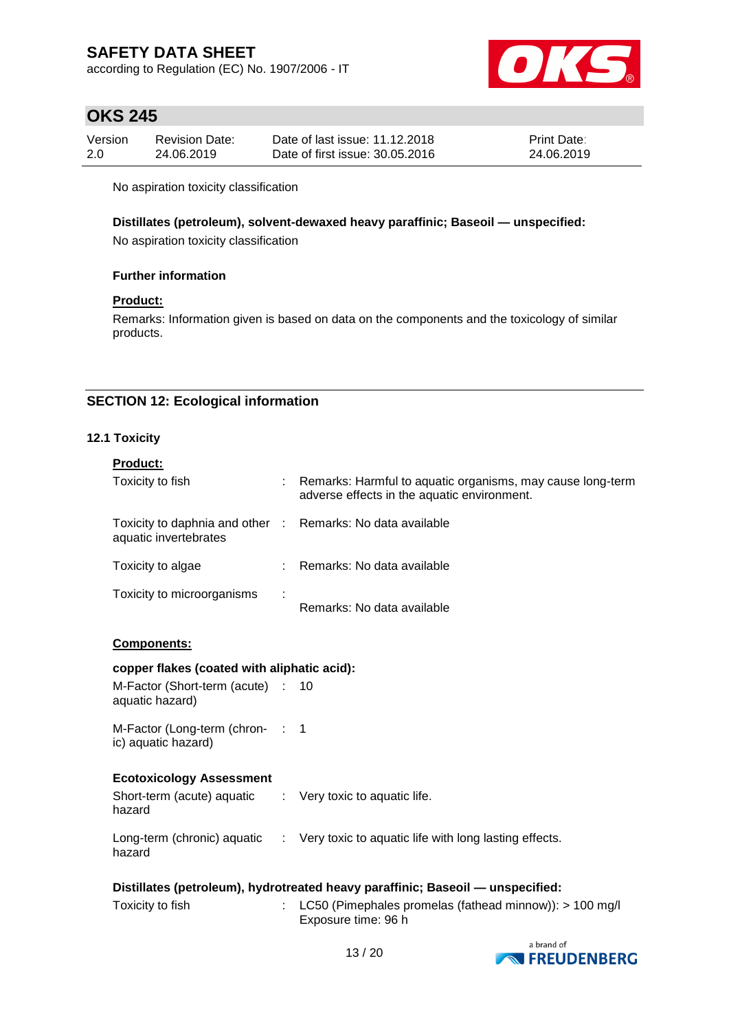according to Regulation (EC) No. 1907/2006 - IT



# **OKS 245**

| Version | <b>Revision Date:</b> | Date of last issue: 11.12.2018  | <b>Print Date:</b> |
|---------|-----------------------|---------------------------------|--------------------|
| 2.0     | 24.06.2019            | Date of first issue: 30.05.2016 | 24.06.2019         |

No aspiration toxicity classification

#### **Distillates (petroleum), solvent-dewaxed heavy paraffinic; Baseoil — unspecified:**

No aspiration toxicity classification

#### **Further information**

### **Product:**

Remarks: Information given is based on data on the components and the toxicology of similar products.

### **SECTION 12: Ecological information**

### **12.1 Toxicity**

| <b>Product:</b>                                                                     |    |                                                                                                           |  |  |
|-------------------------------------------------------------------------------------|----|-----------------------------------------------------------------------------------------------------------|--|--|
| Toxicity to fish                                                                    |    | Remarks: Harmful to aquatic organisms, may cause long-term<br>adverse effects in the aquatic environment. |  |  |
| Toxicity to daphnia and other : Remarks: No data available<br>aquatic invertebrates |    |                                                                                                           |  |  |
| Toxicity to algae                                                                   | t. | Remarks: No data available                                                                                |  |  |
| Toxicity to microorganisms                                                          |    | Remarks: No data available                                                                                |  |  |
| Components:                                                                         |    |                                                                                                           |  |  |
| copper flakes (coated with aliphatic acid):                                         |    |                                                                                                           |  |  |
| M-Factor (Short-term (acute) :<br>aquatic hazard)                                   |    | 10                                                                                                        |  |  |
| M-Factor (Long-term (chron- : 1<br>ic) aquatic hazard)                              |    |                                                                                                           |  |  |
| <b>Ecotoxicology Assessment</b>                                                     |    |                                                                                                           |  |  |
| Short-term (acute) aquatic : Very toxic to aquatic life.<br>hazard                  |    |                                                                                                           |  |  |
| hazard                                                                              |    | Long-term (chronic) aquatic : Very toxic to aquatic life with long lasting effects.                       |  |  |
| Distillates (petroleum), hydrotreated heavy paraffinic; Baseoil — unspecified:      |    |                                                                                                           |  |  |
| Toxicity to fish                                                                    |    | LC50 (Pimephales promelas (fathead minnow)): > 100 mg/l<br>Exposure time: 96 h                            |  |  |

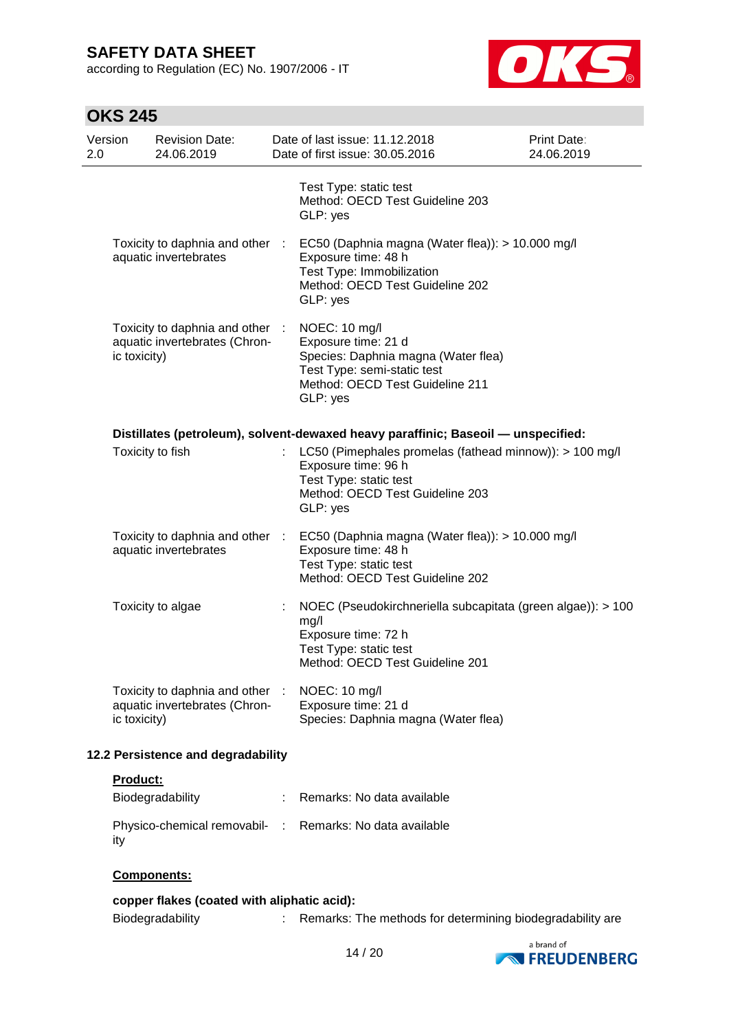according to Regulation (EC) No. 1907/2006 - IT



# **OKS 245**

| Version<br>2.0 | <b>Revision Date:</b><br>24.06.2019                              |   | Date of last issue: 11.12.2018<br>Date of first issue: 30.05.2016                                                                                                                                                                            | <b>Print Date:</b><br>24.06.2019 |
|----------------|------------------------------------------------------------------|---|----------------------------------------------------------------------------------------------------------------------------------------------------------------------------------------------------------------------------------------------|----------------------------------|
|                |                                                                  |   | Test Type: static test<br>Method: OECD Test Guideline 203<br>GLP: yes                                                                                                                                                                        |                                  |
|                | Toxicity to daphnia and other :<br>aquatic invertebrates         |   | EC50 (Daphnia magna (Water flea)): > 10.000 mg/l<br>Exposure time: 48 h<br>Test Type: Immobilization<br>Method: OECD Test Guideline 202<br>GLP: yes                                                                                          |                                  |
| ic toxicity)   | Toxicity to daphnia and other :<br>aquatic invertebrates (Chron- |   | NOEC: 10 mg/l<br>Exposure time: 21 d<br>Species: Daphnia magna (Water flea)<br>Test Type: semi-static test<br>Method: OECD Test Guideline 211<br>GLP: yes                                                                                    |                                  |
|                | Toxicity to fish                                                 |   | Distillates (petroleum), solvent-dewaxed heavy paraffinic; Baseoil - unspecified:<br>LC50 (Pimephales promelas (fathead minnow)): > 100 mg/l<br>Exposure time: 96 h<br>Test Type: static test<br>Method: OECD Test Guideline 203<br>GLP: yes |                                  |
|                | Toxicity to daphnia and other :<br>aquatic invertebrates         |   | EC50 (Daphnia magna (Water flea)): > 10.000 mg/l<br>Exposure time: 48 h<br>Test Type: static test<br>Method: OECD Test Guideline 202                                                                                                         |                                  |
|                | Toxicity to algae                                                | ÷ | NOEC (Pseudokirchneriella subcapitata (green algae)): > 100<br>mg/l<br>Exposure time: 72 h<br>Test Type: static test<br>Method: OECD Test Guideline 201                                                                                      |                                  |
| ic toxicity)   | Toxicity to daphnia and other :<br>aquatic invertebrates (Chron- |   | NOEC: 10 mg/l<br>Exposure time: 21 d<br>Species: Daphnia magna (Water flea)                                                                                                                                                                  |                                  |
|                | 12.2 Persistence and degradability                               |   |                                                                                                                                                                                                                                              |                                  |

### **Product:**

| Biodegradability                                                | Remarks: No data available |
|-----------------------------------------------------------------|----------------------------|
| Physico-chemical removabil- : Remarks: No data available<br>ity |                            |

### **Components:**

**copper flakes (coated with aliphatic acid):** Biodegradability : Remarks: The methods for determining biodegradability are

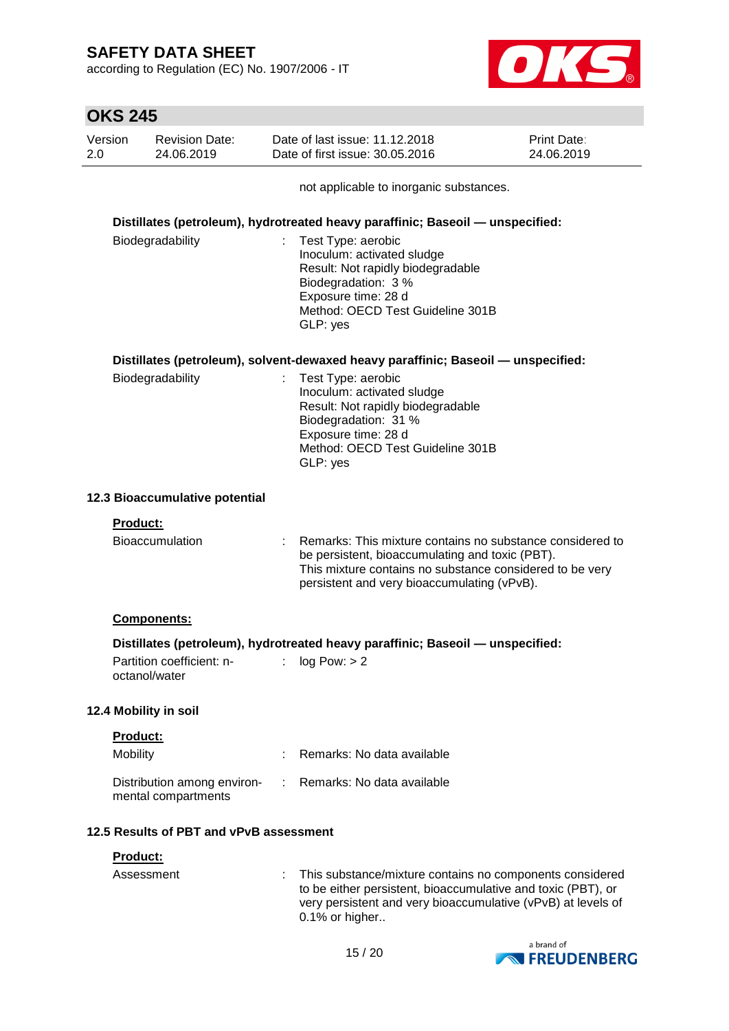according to Regulation (EC) No. 1907/2006 - IT



|                | <b>OKS 245</b>  |                                                    |    |                                                                                                                                                                                                                         |                                  |
|----------------|-----------------|----------------------------------------------------|----|-------------------------------------------------------------------------------------------------------------------------------------------------------------------------------------------------------------------------|----------------------------------|
| Version<br>2.0 |                 | <b>Revision Date:</b><br>24.06.2019                |    | Date of last issue: 11.12.2018<br>Date of first issue: 30.05.2016                                                                                                                                                       | <b>Print Date:</b><br>24.06.2019 |
|                |                 |                                                    |    | not applicable to inorganic substances.                                                                                                                                                                                 |                                  |
|                |                 |                                                    |    | Distillates (petroleum), hydrotreated heavy paraffinic; Baseoil - unspecified:                                                                                                                                          |                                  |
|                |                 | Biodegradability                                   |    | Test Type: aerobic<br>Inoculum: activated sludge<br>Result: Not rapidly biodegradable<br>Biodegradation: 3 %<br>Exposure time: 28 d<br>Method: OECD Test Guideline 301B<br>GLP: yes                                     |                                  |
|                |                 |                                                    |    | Distillates (petroleum), solvent-dewaxed heavy paraffinic; Baseoil — unspecified:                                                                                                                                       |                                  |
|                |                 | Biodegradability                                   | ÷. | Test Type: aerobic<br>Inoculum: activated sludge<br>Result: Not rapidly biodegradable<br>Biodegradation: 31 %<br>Exposure time: 28 d<br>Method: OECD Test Guideline 301B<br>GLP: yes                                    |                                  |
|                |                 | 12.3 Bioaccumulative potential                     |    |                                                                                                                                                                                                                         |                                  |
|                | <b>Product:</b> |                                                    |    |                                                                                                                                                                                                                         |                                  |
|                |                 | <b>Bioaccumulation</b>                             |    | Remarks: This mixture contains no substance considered to<br>be persistent, bioaccumulating and toxic (PBT).<br>This mixture contains no substance considered to be very<br>persistent and very bioaccumulating (vPvB). |                                  |
|                |                 | <b>Components:</b>                                 |    |                                                                                                                                                                                                                         |                                  |
|                | octanol/water   | Partition coefficient: n-                          |    | Distillates (petroleum), hydrotreated heavy paraffinic; Baseoil - unspecified:<br>log Pow: > 2                                                                                                                          |                                  |
|                |                 | 12.4 Mobility in soil                              |    |                                                                                                                                                                                                                         |                                  |
|                | <b>Product:</b> |                                                    |    |                                                                                                                                                                                                                         |                                  |
|                | Mobility        |                                                    |    | Remarks: No data available                                                                                                                                                                                              |                                  |
|                |                 | Distribution among environ-<br>mental compartments |    | Remarks: No data available                                                                                                                                                                                              |                                  |
|                |                 | 12.5 Results of PBT and vPvB assessment            |    |                                                                                                                                                                                                                         |                                  |
|                | <b>Product:</b> |                                                    |    |                                                                                                                                                                                                                         |                                  |
|                | Assessment      |                                                    |    | This substance/mixture contains no components considered<br>to be either persistent, bioaccumulative and toxic (PBT), or<br>very persistent and very bioaccumulative (vPvB) at levels of<br>0.1% or higher              |                                  |

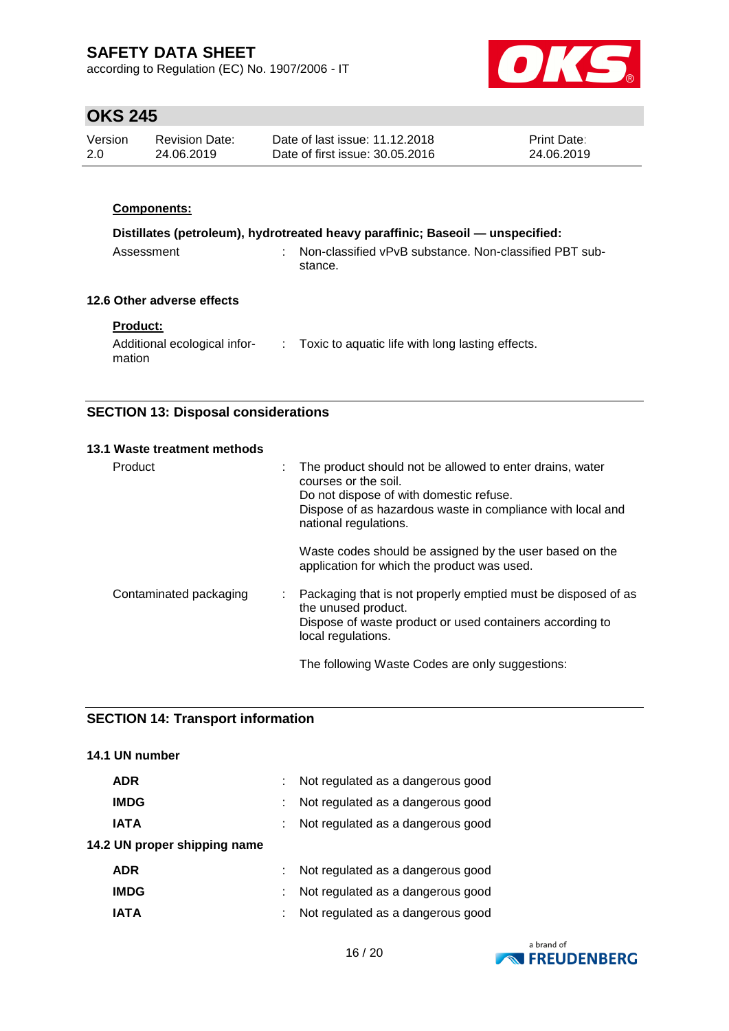according to Regulation (EC) No. 1907/2006 - IT



# **OKS 245**

| Version | Revision Date: | Date of last issue: 11.12.2018  | <b>Print Date:</b> |
|---------|----------------|---------------------------------|--------------------|
| -2.0    | 24.06.2019     | Date of first issue: 30.05.2016 | 24.06.2019         |

### **Components:**

| Distillates (petroleum), hydrotreated heavy paraffinic; Baseoil — unspecified: |  |                                                                     |  |  |
|--------------------------------------------------------------------------------|--|---------------------------------------------------------------------|--|--|
| Assessment                                                                     |  | : Non-classified vPvB substance. Non-classified PBT sub-<br>stance. |  |  |

### **12.6 Other adverse effects**

### **Product:**

| Additional ecological infor- | Toxic to aquatic life with long lasting effects. |
|------------------------------|--------------------------------------------------|
| mation                       |                                                  |

### **SECTION 13: Disposal considerations**

| 13.1 Waste treatment methods |                                                                                                                                                                                                                    |
|------------------------------|--------------------------------------------------------------------------------------------------------------------------------------------------------------------------------------------------------------------|
| Product                      | The product should not be allowed to enter drains, water<br>courses or the soil.<br>Do not dispose of with domestic refuse.<br>Dispose of as hazardous waste in compliance with local and<br>national regulations. |
|                              | Waste codes should be assigned by the user based on the<br>application for which the product was used.                                                                                                             |
| Contaminated packaging       | Packaging that is not properly emptied must be disposed of as<br>÷<br>the unused product.<br>Dispose of waste product or used containers according to<br>local regulations.                                        |
|                              | The following Waste Codes are only suggestions:                                                                                                                                                                    |

### **SECTION 14: Transport information**

| 14.1 UN number               |                                   |
|------------------------------|-----------------------------------|
| <b>ADR</b>                   | Not regulated as a dangerous good |
| <b>IMDG</b>                  | Not regulated as a dangerous good |
| <b>IATA</b>                  | Not regulated as a dangerous good |
| 14.2 UN proper shipping name |                                   |
| <b>ADR</b>                   | Not regulated as a dangerous good |
| <b>IMDG</b>                  | Not regulated as a dangerous good |
| IATA                         | Not regulated as a dangerous good |
|                              |                                   |

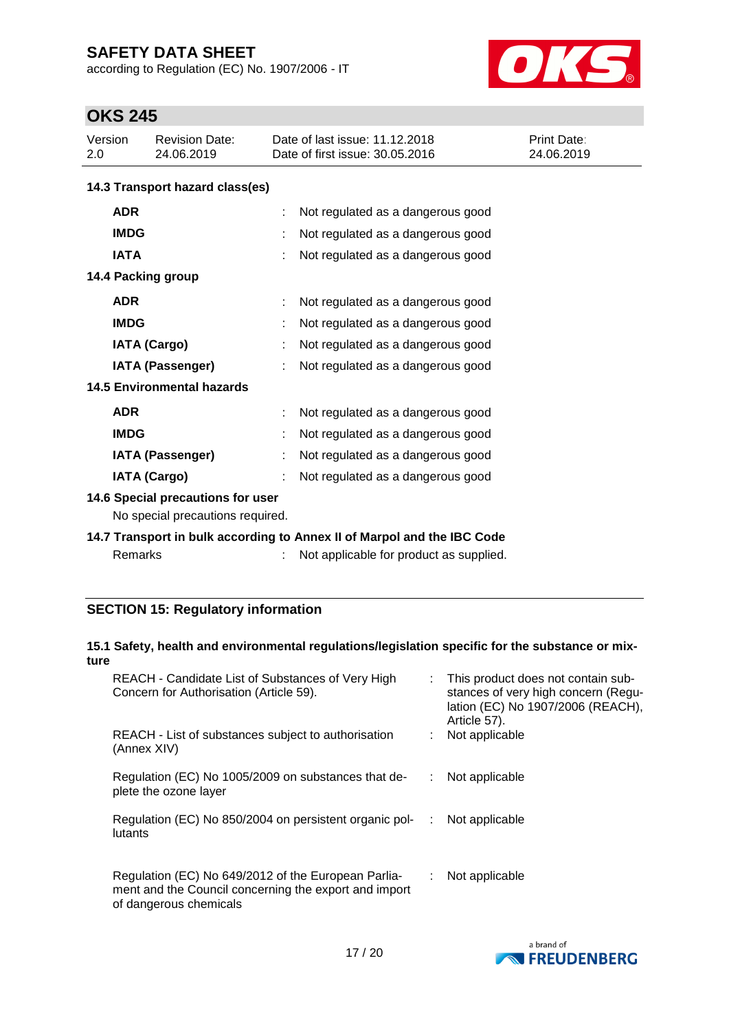according to Regulation (EC) No. 1907/2006 - IT



# **OKS 245**

| Version<br>2.0                    | <b>Revision Date:</b><br>24.06.2019                                     | Date of last issue: 11.12.2018<br>Date of first issue: 30.05.2016 | Print Date:<br>24.06.2019 |  |  |  |
|-----------------------------------|-------------------------------------------------------------------------|-------------------------------------------------------------------|---------------------------|--|--|--|
|                                   | 14.3 Transport hazard class(es)                                         |                                                                   |                           |  |  |  |
| <b>ADR</b>                        |                                                                         | Not regulated as a dangerous good                                 |                           |  |  |  |
| <b>IMDG</b>                       |                                                                         | Not regulated as a dangerous good                                 |                           |  |  |  |
| <b>IATA</b>                       |                                                                         | Not regulated as a dangerous good                                 |                           |  |  |  |
|                                   | 14.4 Packing group                                                      |                                                                   |                           |  |  |  |
| <b>ADR</b>                        |                                                                         | Not regulated as a dangerous good                                 |                           |  |  |  |
| <b>IMDG</b>                       |                                                                         | Not regulated as a dangerous good                                 |                           |  |  |  |
|                                   | <b>IATA (Cargo)</b>                                                     | Not regulated as a dangerous good                                 |                           |  |  |  |
| <b>IATA (Passenger)</b>           |                                                                         | Not regulated as a dangerous good                                 |                           |  |  |  |
| <b>14.5 Environmental hazards</b> |                                                                         |                                                                   |                           |  |  |  |
| <b>ADR</b>                        |                                                                         | Not regulated as a dangerous good                                 |                           |  |  |  |
| <b>IMDG</b>                       |                                                                         | Not regulated as a dangerous good                                 |                           |  |  |  |
|                                   | <b>IATA (Passenger)</b>                                                 | Not regulated as a dangerous good                                 |                           |  |  |  |
|                                   | <b>IATA (Cargo)</b>                                                     | Not regulated as a dangerous good                                 |                           |  |  |  |
|                                   | 14.6 Special precautions for user<br>No special precautions required.   |                                                                   |                           |  |  |  |
|                                   | 14.7 Transport in bulk according to Annex II of Marpol and the IBC Code |                                                                   |                           |  |  |  |
|                                   | Remarks                                                                 | Not applicable for product as supplied.                           |                           |  |  |  |

### **SECTION 15: Regulatory information**

| REACH - Candidate List of Substances of Very High<br>Concern for Authorisation (Article 59).                                           |        | This product does not contain sub-<br>stances of very high concern (Regu-<br>lation (EC) No 1907/2006 (REACH),<br>Article 57).                             |
|----------------------------------------------------------------------------------------------------------------------------------------|--------|------------------------------------------------------------------------------------------------------------------------------------------------------------|
| REACH - List of substances subject to authorisation<br>(Annex XIV)                                                                     |        | Not applicable                                                                                                                                             |
| Regulation (EC) No 1005/2009 on substances that de-<br>plete the ozone layer                                                           |        | Not applicable                                                                                                                                             |
| lutants                                                                                                                                | $\sim$ | Not applicable                                                                                                                                             |
| Regulation (EC) No 649/2012 of the European Parlia-<br>ment and the Council concerning the export and import<br>of dangerous chemicals |        | Not applicable                                                                                                                                             |
|                                                                                                                                        | ture   | 15.1 Safety, health and environmental regulations/legislation specific for the substance or mix-<br>Regulation (EC) No 850/2004 on persistent organic pol- |

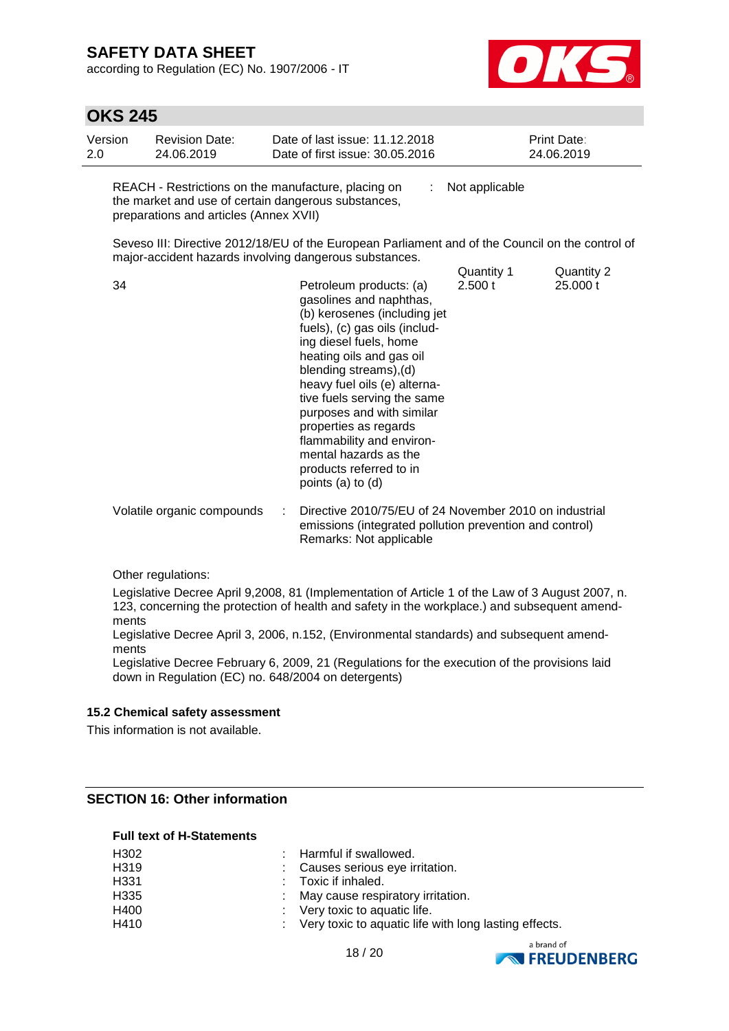according to Regulation (EC) No. 1907/2006 - IT



| <b>OKS 245</b> |                                                                                                                                                      |   |                                                                                                                                                                                                                                                                                                                                                                                                                                |                       |                           |
|----------------|------------------------------------------------------------------------------------------------------------------------------------------------------|---|--------------------------------------------------------------------------------------------------------------------------------------------------------------------------------------------------------------------------------------------------------------------------------------------------------------------------------------------------------------------------------------------------------------------------------|-----------------------|---------------------------|
| Version<br>2.0 | <b>Revision Date:</b><br>24.06.2019                                                                                                                  |   | Date of last issue: 11.12.2018<br>Date of first issue: 30.05.2016                                                                                                                                                                                                                                                                                                                                                              |                       | Print Date:<br>24.06.2019 |
|                | REACH - Restrictions on the manufacture, placing on<br>the market and use of certain dangerous substances,<br>preparations and articles (Annex XVII) |   |                                                                                                                                                                                                                                                                                                                                                                                                                                | Not applicable        |                           |
|                |                                                                                                                                                      |   | Seveso III: Directive 2012/18/EU of the European Parliament and of the Council on the control of<br>major-accident hazards involving dangerous substances.                                                                                                                                                                                                                                                                     |                       |                           |
| 34             |                                                                                                                                                      |   | Petroleum products: (a)<br>gasolines and naphthas,<br>(b) kerosenes (including jet<br>fuels), (c) gas oils (includ-<br>ing diesel fuels, home<br>heating oils and gas oil<br>blending streams), (d)<br>heavy fuel oils (e) alterna-<br>tive fuels serving the same<br>purposes and with similar<br>properties as regards<br>flammability and environ-<br>mental hazards as the<br>products referred to in<br>points (a) to (d) | Quantity 1<br>2.500 t | Quantity 2<br>25.000 t    |
|                | Volatile organic compounds                                                                                                                           | ÷ | Directive 2010/75/EU of 24 November 2010 on industrial<br>emissions (integrated pollution prevention and control)<br>Remarks: Not applicable                                                                                                                                                                                                                                                                                   |                       |                           |
|                | Other requisitions:                                                                                                                                  |   |                                                                                                                                                                                                                                                                                                                                                                                                                                |                       |                           |

Other regulations:

Legislative Decree April 9,2008, 81 (Implementation of Article 1 of the Law of 3 August 2007, n. 123, concerning the protection of health and safety in the workplace.) and subsequent amendments

Legislative Decree April 3, 2006, n.152, (Environmental standards) and subsequent amendments

Legislative Decree February 6, 2009, 21 (Regulations for the execution of the provisions laid down in Regulation (EC) no. 648/2004 on detergents)

#### **15.2 Chemical safety assessment**

This information is not available.

### **SECTION 16: Other information**

#### **Full text of H-Statements**

| H <sub>302</sub> | : Harmful if swallowed.                                 |
|------------------|---------------------------------------------------------|
| H <sub>319</sub> | : Causes serious eye irritation.                        |
| H <sub>331</sub> | $\therefore$ Toxic if inhaled.                          |
| H <sub>335</sub> | : May cause respiratory irritation.                     |
| H400             | $\therefore$ Very toxic to aquatic life.                |
| H410             | : Very toxic to aquatic life with long lasting effects. |



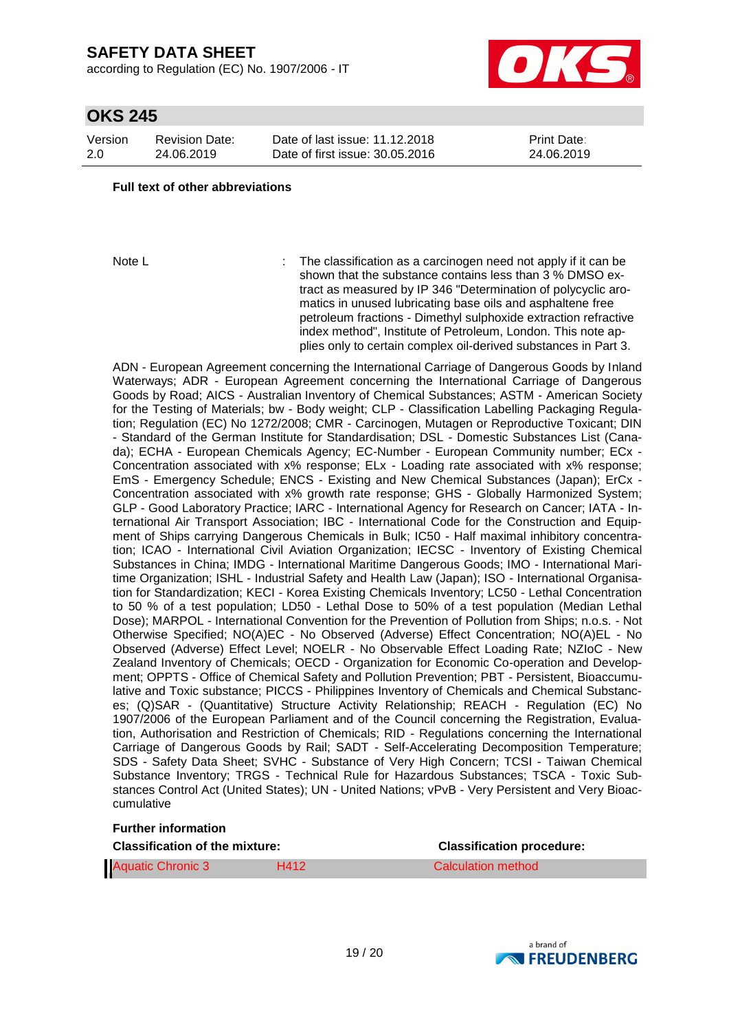according to Regulation (EC) No. 1907/2006 - IT



# **OKS 245**

Version 2.0 Revision Date: 24.06.2019

Date of last issue: 11.12.2018 Date of first issue: 30.05.2016 Print Date: 24.06.2019

#### **Full text of other abbreviations**

Note L **interpretent in the classification as a carcinogen need not apply if it can be** shown that the substance contains less than 3 % DMSO extract as measured by IP 346 "Determination of polycyclic aromatics in unused lubricating base oils and asphaltene free petroleum fractions - Dimethyl sulphoxide extraction refractive index method", Institute of Petroleum, London. This note applies only to certain complex oil-derived substances in Part 3.

ADN - European Agreement concerning the International Carriage of Dangerous Goods by Inland Waterways; ADR - European Agreement concerning the International Carriage of Dangerous Goods by Road; AICS - Australian Inventory of Chemical Substances; ASTM - American Society for the Testing of Materials; bw - Body weight; CLP - Classification Labelling Packaging Regulation; Regulation (EC) No 1272/2008; CMR - Carcinogen, Mutagen or Reproductive Toxicant; DIN - Standard of the German Institute for Standardisation; DSL - Domestic Substances List (Canada); ECHA - European Chemicals Agency; EC-Number - European Community number; ECx - Concentration associated with x% response; ELx - Loading rate associated with x% response; EmS - Emergency Schedule; ENCS - Existing and New Chemical Substances (Japan); ErCx - Concentration associated with x% growth rate response; GHS - Globally Harmonized System; GLP - Good Laboratory Practice; IARC - International Agency for Research on Cancer; IATA - International Air Transport Association; IBC - International Code for the Construction and Equipment of Ships carrying Dangerous Chemicals in Bulk; IC50 - Half maximal inhibitory concentration; ICAO - International Civil Aviation Organization; IECSC - Inventory of Existing Chemical Substances in China; IMDG - International Maritime Dangerous Goods; IMO - International Maritime Organization; ISHL - Industrial Safety and Health Law (Japan); ISO - International Organisation for Standardization; KECI - Korea Existing Chemicals Inventory; LC50 - Lethal Concentration to 50 % of a test population; LD50 - Lethal Dose to 50% of a test population (Median Lethal Dose); MARPOL - International Convention for the Prevention of Pollution from Ships; n.o.s. - Not Otherwise Specified; NO(A)EC - No Observed (Adverse) Effect Concentration; NO(A)EL - No Observed (Adverse) Effect Level; NOELR - No Observable Effect Loading Rate; NZIoC - New Zealand Inventory of Chemicals; OECD - Organization for Economic Co-operation and Development; OPPTS - Office of Chemical Safety and Pollution Prevention; PBT - Persistent, Bioaccumulative and Toxic substance; PICCS - Philippines Inventory of Chemicals and Chemical Substances; (Q)SAR - (Quantitative) Structure Activity Relationship; REACH - Regulation (EC) No 1907/2006 of the European Parliament and of the Council concerning the Registration, Evaluation, Authorisation and Restriction of Chemicals; RID - Regulations concerning the International Carriage of Dangerous Goods by Rail; SADT - Self-Accelerating Decomposition Temperature; SDS - Safety Data Sheet; SVHC - Substance of Very High Concern; TCSI - Taiwan Chemical Substance Inventory; TRGS - Technical Rule for Hazardous Substances; TSCA - Toxic Substances Control Act (United States); UN - United Nations; vPvB - Very Persistent and Very Bioaccumulative

#### **Further information**

| <b>Classification of the mixture:</b> |      | <b>Classification procedure:</b> |  |
|---------------------------------------|------|----------------------------------|--|
| <b>Aquatic Chronic 3</b>              | H412 | Calculation method               |  |